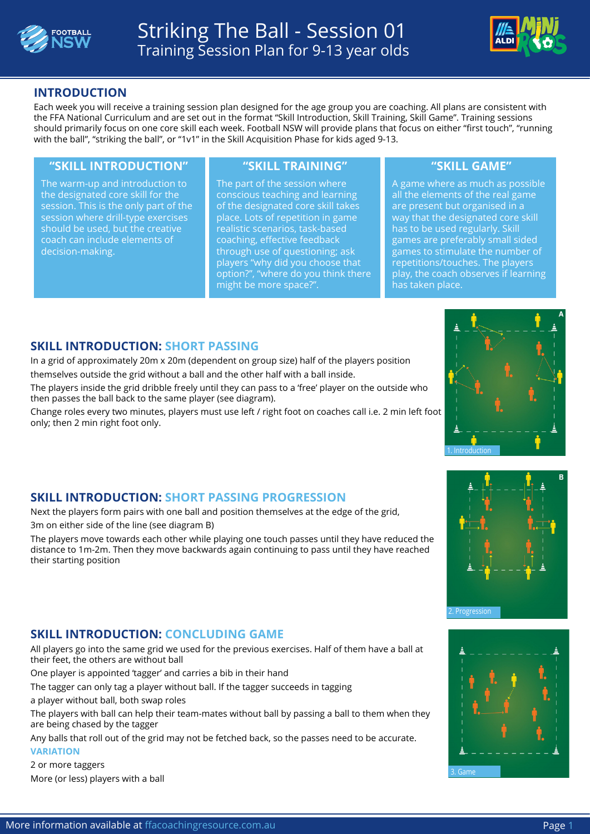



## **INTRODUCTION**

Each week you will receive a training session plan designed for the age group you are coaching. All plans are consistent with the FFA National Curriculum and are set out in the format "Skill Introduction, Skill Training, Skill Game". Training sessions should primarily focus on one core skill each week. Football NSW will provide plans that focus on either "first touch", "running with the ball", "striking the ball", or "1v1" in the Skill Acquisition Phase for kids aged 9-13.

### **"SKILL INTRODUCTION" "SKILL TRAINING" "SKILL GAME"**

The warm-up and introduction to the designated core skill for the session. This is the only part of the session where drill-type exercises should be used, but the creative coach can include elements of decision-making.

The part of the session where conscious teaching and learning of the designated core skill takes place. Lots of repetition in game realistic scenarios, task-based coaching, effective feedback through use of questioning; ask players "why did you choose that option?", "where do you think there might be more space?".

A game where as much as possible all the elements of the real game are present but organised in a way that the designated core skill has to be used regularly. Skill games are preferably small sided games to stimulate the number of repetitions/touches. The players play, the coach observes if learning has taken place.

### **SKILL INTRODUCTION: SHORT PASSING**

In a grid of approximately 20m x 20m (dependent on group size) half of the players position themselves outside the grid without a ball and the other half with a ball inside.

The players inside the grid dribble freely until they can pass to a 'free' player on the outside who then passes the ball back to the same player (see diagram).

Change roles every two minutes, players must use left / right foot on coaches call i.e. 2 min left foot only; then 2 min right foot only.



# **SKILL INTRODUCTION: SHORT PASSING PROGRESSION**

Next the players form pairs with one ball and position themselves at the edge of the grid, 3m on either side of the line (see diagram B)

The players move towards each other while playing one touch passes until they have reduced the distance to 1m-2m. Then they move backwards again continuing to pass until they have reached their starting position

### **SKILL INTRODUCTION: CONCLUDING GAME**

All players go into the same grid we used for the previous exercises. Half of them have a ball at their feet, the others are without ball

One player is appointed 'tagger' and carries a bib in their hand

The tagger can only tag a player without ball. If the tagger succeeds in tagging

a player without ball, both swap roles

The players with ball can help their team-mates without ball by passing a ball to them when they are being chased by the tagger

Any balls that roll out of the grid may not be fetched back, so the passes need to be accurate. **VARIATION**

2 or more taggers More (or less) players with a ball